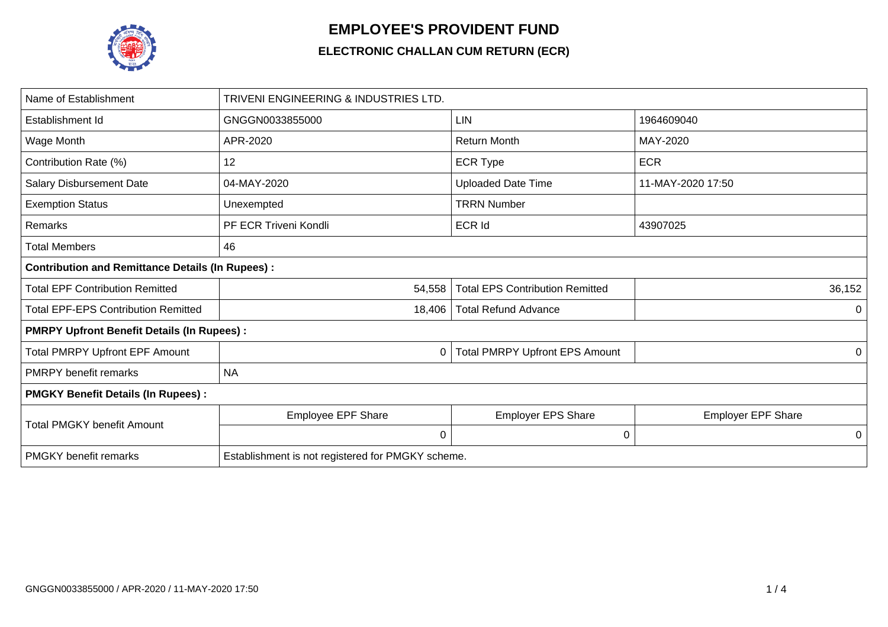

## **EMPLOYEE'S PROVIDENT FUND**

## **ELECTRONIC CHALLAN CUM RETURN (ECR)**

| Name of Establishment                                   | TRIVENI ENGINEERING & INDUSTRIES LTD.             |                                        |                           |  |  |  |  |  |  |
|---------------------------------------------------------|---------------------------------------------------|----------------------------------------|---------------------------|--|--|--|--|--|--|
| Establishment Id                                        | GNGGN0033855000                                   | <b>LIN</b>                             | 1964609040                |  |  |  |  |  |  |
| Wage Month                                              | APR-2020                                          | <b>Return Month</b>                    | MAY-2020                  |  |  |  |  |  |  |
| Contribution Rate (%)                                   | 12                                                | <b>ECR Type</b>                        | <b>ECR</b>                |  |  |  |  |  |  |
| <b>Salary Disbursement Date</b>                         | 04-MAY-2020                                       | <b>Uploaded Date Time</b>              | 11-MAY-2020 17:50         |  |  |  |  |  |  |
| <b>Exemption Status</b>                                 | Unexempted                                        | <b>TRRN Number</b>                     |                           |  |  |  |  |  |  |
| Remarks                                                 | PF ECR Triveni Kondli                             | ECR Id                                 | 43907025                  |  |  |  |  |  |  |
| <b>Total Members</b>                                    | 46                                                |                                        |                           |  |  |  |  |  |  |
| <b>Contribution and Remittance Details (In Rupees):</b> |                                                   |                                        |                           |  |  |  |  |  |  |
| <b>Total EPF Contribution Remitted</b>                  | 54,558                                            | <b>Total EPS Contribution Remitted</b> | 36,152                    |  |  |  |  |  |  |
| <b>Total EPF-EPS Contribution Remitted</b>              | 18,406                                            | <b>Total Refund Advance</b>            | 0                         |  |  |  |  |  |  |
| <b>PMRPY Upfront Benefit Details (In Rupees):</b>       |                                                   |                                        |                           |  |  |  |  |  |  |
| <b>Total PMRPY Upfront EPF Amount</b>                   | 0                                                 | <b>Total PMRPY Upfront EPS Amount</b>  | 0                         |  |  |  |  |  |  |
| <b>PMRPY benefit remarks</b>                            | <b>NA</b>                                         |                                        |                           |  |  |  |  |  |  |
| <b>PMGKY Benefit Details (In Rupees):</b>               |                                                   |                                        |                           |  |  |  |  |  |  |
| <b>Total PMGKY benefit Amount</b>                       | <b>Employee EPF Share</b>                         | <b>Employer EPS Share</b>              | <b>Employer EPF Share</b> |  |  |  |  |  |  |
|                                                         | 0                                                 | $\mathbf 0$                            | 0                         |  |  |  |  |  |  |
| <b>PMGKY</b> benefit remarks                            | Establishment is not registered for PMGKY scheme. |                                        |                           |  |  |  |  |  |  |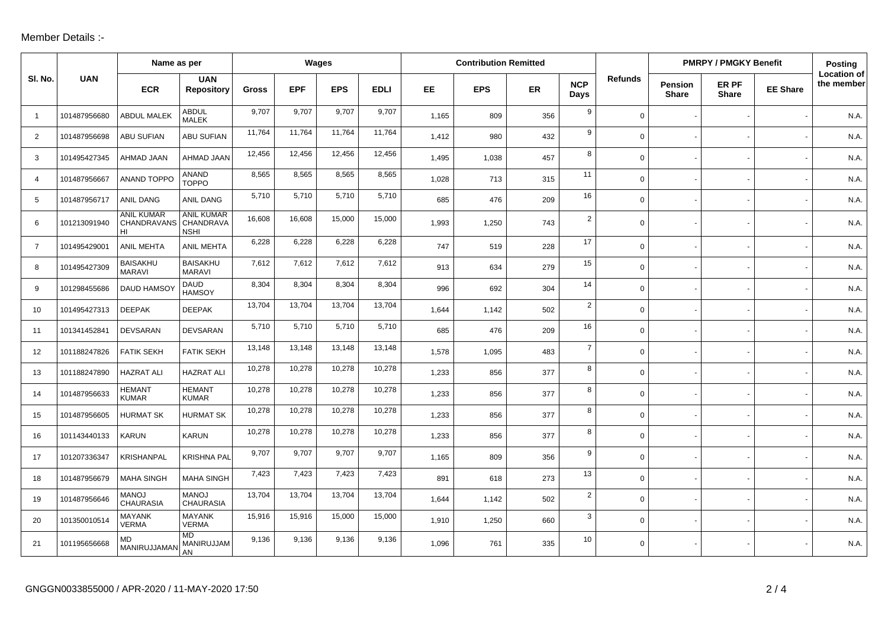## Member Details :-

|                |              | Name as per                                      |                                  | Wages  |            |            |             | <b>Contribution Remitted</b> |            |     |                    |                | <b>PMRPY / PMGKY Benefit</b>   | Posting               |                 |                                  |
|----------------|--------------|--------------------------------------------------|----------------------------------|--------|------------|------------|-------------|------------------------------|------------|-----|--------------------|----------------|--------------------------------|-----------------------|-----------------|----------------------------------|
| SI. No.        | <b>UAN</b>   | <b>ECR</b>                                       | <b>UAN</b><br><b>Repository</b>  | Gross  | <b>EPF</b> | <b>EPS</b> | <b>EDLI</b> | EE.                          | <b>EPS</b> | ER  | <b>NCP</b><br>Days | <b>Refunds</b> | <b>Pension</b><br><b>Share</b> | ER PF<br><b>Share</b> | <b>EE Share</b> | <b>Location of</b><br>the member |
| $\overline{1}$ | 101487956680 | <b>ABDUL MALEK</b>                               | <b>ABDUL</b><br><b>MALEK</b>     | 9,707  | 9,707      | 9,707      | 9,707       | 1,165                        | 809        | 356 | 9                  | $\mathbf{0}$   |                                |                       |                 | N.A.                             |
| 2              | 101487956698 | <b>ABU SUFIAN</b>                                | ABU SUFIAN                       | 11,764 | 11,764     | 11,764     | 11,764      | 1,412                        | 980        | 432 | 9                  | $\mathbf 0$    |                                |                       |                 | N.A.                             |
| 3              | 101495427345 | AHMAD JAAN                                       | AHMAD JAAN                       | 12,456 | 12,456     | 12,456     | 12,456      | 1,495                        | 1,038      | 457 | 8                  | $\mathsf{O}$   |                                |                       |                 | N.A.                             |
| $\overline{4}$ | 101487956667 | <b>ANAND TOPPO</b>                               | <b>ANAND</b><br><b>TOPPO</b>     | 8,565  | 8,565      | 8,565      | 8,565       | 1,028                        | 713        | 315 | 11                 | $\mathbf 0$    |                                |                       |                 | N.A.                             |
| 5              | 101487956717 | ANIL DANG                                        | ANIL DANG                        | 5,710  | 5,710      | 5,710      | 5,710       | 685                          | 476        | 209 | 16                 | $\mathbf 0$    |                                |                       |                 | N.A.                             |
| 6              | 101213091940 | <b>ANIL KUMAR</b><br>CHANDRAVANS CHANDRAVA<br>HI | <b>ANIL KUMAR</b><br><b>NSHI</b> | 16,608 | 16,608     | 15,000     | 15,000      | 1,993                        | 1,250      | 743 | $\overline{2}$     | $\mathbf 0$    |                                |                       |                 | N.A.                             |
| $\overline{7}$ | 101495429001 | <b>ANIL MEHTA</b>                                | <b>ANIL MEHTA</b>                | 6,228  | 6,228      | 6,228      | 6,228       | 747                          | 519        | 228 | 17                 | $\mathbf 0$    |                                |                       |                 | N.A.                             |
| 8              | 101495427309 | <b>BAISAKHU</b><br><b>MARAVI</b>                 | <b>BAISAKHU</b><br><b>MARAVI</b> | 7,612  | 7,612      | 7,612      | 7,612       | 913                          | 634        | 279 | 15                 | $\mathbf 0$    |                                |                       |                 | N.A.                             |
| 9              | 101298455686 | DAUD HAMSO'                                      | DAUD<br><b>HAMSOY</b>            | 8,304  | 8,304      | 8,304      | 8,304       | 996                          | 692        | 304 | 14                 | $\mathbf 0$    |                                |                       |                 | N.A.                             |
| 10             | 101495427313 | <b>DEEPAK</b>                                    | <b>DEEPAK</b>                    | 13,704 | 13,704     | 13,704     | 13,704      | 1,644                        | 1,142      | 502 | $\overline{2}$     | $\mathbf 0$    |                                |                       |                 | N.A.                             |
| 11             | 101341452841 | <b>DEVSARAN</b>                                  | <b>DEVSARAN</b>                  | 5,710  | 5,710      | 5,710      | 5,710       | 685                          | 476        | 209 | 16                 | $\mathbf 0$    |                                |                       |                 | N.A.                             |
| 12             | 101188247826 | <b>FATIK SEKH</b>                                | <b>FATIK SEKH</b>                | 13,148 | 13,148     | 13,148     | 13,148      | 1,578                        | 1,095      | 483 | $\overline{7}$     | $\mathbf 0$    |                                |                       |                 | N.A.                             |
| 13             | 101188247890 | <b>HAZRAT ALI</b>                                | <b>HAZRAT ALI</b>                | 10,278 | 10,278     | 10,278     | 10,278      | 1,233                        | 856        | 377 | 8                  | $\mathbf 0$    |                                |                       |                 | N.A.                             |
| 14             | 101487956633 | <b>HEMANT</b><br><b>KUMAR</b>                    | <b>HEMANT</b><br><b>KUMAR</b>    | 10,278 | 10,278     | 10,278     | 10,278      | 1,233                        | 856        | 377 | 8                  | $\mathbf 0$    |                                |                       |                 | N.A.                             |
| 15             | 101487956605 | <b>HURMAT SK</b>                                 | <b>HURMAT SK</b>                 | 10,278 | 10,278     | 10,278     | 10,278      | 1,233                        | 856        | 377 | 8                  | $\mathbf 0$    |                                |                       |                 | N.A.                             |
| 16             | 101143440133 | <b>KARUN</b>                                     | <b>KARUN</b>                     | 10,278 | 10,278     | 10,278     | 10,278      | 1,233                        | 856        | 377 | 8                  | $\mathbf 0$    |                                |                       |                 | N.A.                             |
| 17             | 101207336347 | <b>KRISHANPAL</b>                                | <b>KRISHNA PAL</b>               | 9,707  | 9,707      | 9,707      | 9,707       | 1,165                        | 809        | 356 | 9                  | $\mathbf 0$    |                                |                       |                 | N.A.                             |
| 18             | 101487956679 | <b>MAHA SINGH</b>                                | <b>MAHA SINGH</b>                | 7,423  | 7,423      | 7,423      | 7,423       | 891                          | 618        | 273 | 13                 | $\mathbf 0$    |                                |                       |                 | N.A.                             |
| 19             | 101487956646 | <b>MANOJ</b><br><b>CHAURASIA</b>                 | <b>MANOJ</b><br><b>CHAURASIA</b> | 13,704 | 13,704     | 13,704     | 13,704      | 1,644                        | 1,142      | 502 | $\overline{2}$     | $\mathbf 0$    |                                |                       |                 | N.A.                             |
| 20             | 101350010514 | <b>MAYANK</b><br><b>VERMA</b>                    | <b>MAYANK</b><br><b>VERMA</b>    | 15,916 | 15,916     | 15,000     | 15,000      | 1,910                        | 1,250      | 660 | 3                  | $\mathbf 0$    |                                |                       |                 | N.A.                             |
| 21             | 101195656668 | <b>MD</b><br>MANIRUJJAMAN                        | <b>MD</b><br>MANIRUJJAM<br>AN    | 9,136  | 9,136      | 9,136      | 9,136       | 1,096                        | 761        | 335 | 10                 | $\mathbf 0$    |                                |                       |                 | N.A.                             |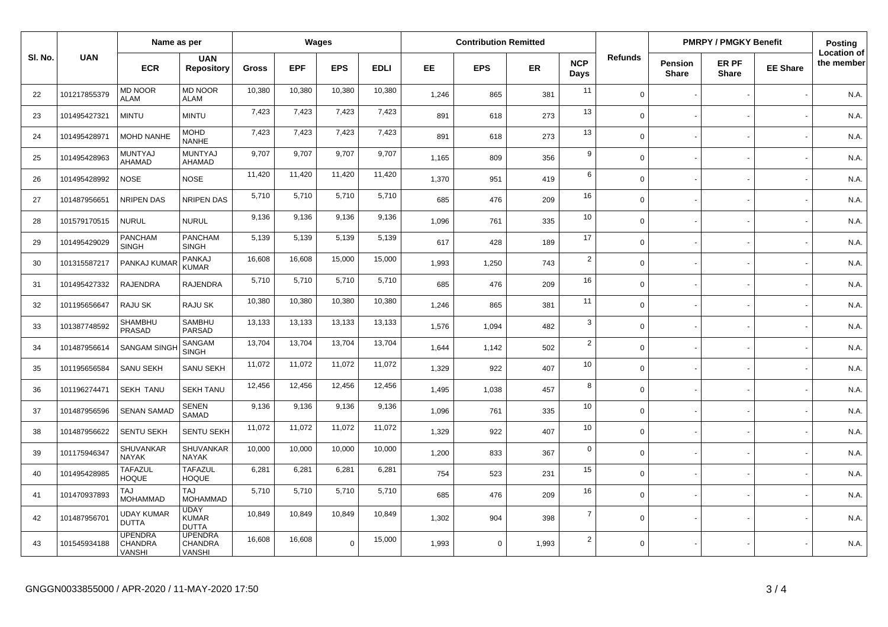|         |              | Name as per                                |                                                   | Wages        |            |             | <b>Contribution Remitted</b> |       |             |           |                    | <b>PMRPY / PMGKY Benefit</b> |                                |                       | <b>Posting</b>  |                                  |
|---------|--------------|--------------------------------------------|---------------------------------------------------|--------------|------------|-------------|------------------------------|-------|-------------|-----------|--------------------|------------------------------|--------------------------------|-----------------------|-----------------|----------------------------------|
| SI. No. | <b>UAN</b>   | <b>ECR</b>                                 | <b>UAN</b><br><b>Repository</b>                   | <b>Gross</b> | <b>EPF</b> | <b>EPS</b>  | <b>EDLI</b>                  | EE.   | <b>EPS</b>  | <b>ER</b> | <b>NCP</b><br>Days | <b>Refunds</b>               | <b>Pension</b><br><b>Share</b> | ER PF<br><b>Share</b> | <b>EE Share</b> | <b>Location of</b><br>the member |
| 22      | 101217855379 | <b>MD NOOR</b><br><b>ALAM</b>              | <b>MD NOOR</b><br><b>ALAM</b>                     | 10,380       | 10,380     | 10,380      | 10,380                       | 1,246 | 865         | 381       | 11                 | $\Omega$                     |                                |                       |                 | N.A.                             |
| 23      | 101495427321 | <b>MINTU</b>                               | <b>MINTU</b>                                      | 7,423        | 7,423      | 7,423       | 7,423                        | 891   | 618         | 273       | 13                 | $\Omega$                     |                                |                       |                 | N.A.                             |
| 24      | 101495428971 | <b>MOHD NANHE</b>                          | <b>MOHD</b><br><b>NANHE</b>                       | 7,423        | 7,423      | 7,423       | 7,423                        | 891   | 618         | 273       | 13                 | $\Omega$                     |                                |                       |                 | N.A.                             |
| 25      | 101495428963 | <b>MUNTYAJ</b><br>AHAMAD                   | <b>MUNTYAJ</b><br>AHAMAD                          | 9.707        | 9.707      | 9,707       | 9,707                        | 1,165 | 809         | 356       | 9                  | $\Omega$                     |                                |                       |                 | N.A.                             |
| 26      | 101495428992 | <b>NOSE</b>                                | <b>NOSE</b>                                       | 11,420       | 11,420     | 11,420      | 11,420                       | 1,370 | 951         | 419       | 6                  | $\Omega$                     |                                |                       |                 | N.A.                             |
| 27      | 101487956651 | <b>NRIPEN DAS</b>                          | <b>NRIPEN DAS</b>                                 | 5,710        | 5,710      | 5,710       | 5,710                        | 685   | 476         | 209       | 16                 | $\mathbf 0$                  |                                |                       |                 | N.A.                             |
| 28      | 101579170515 | <b>NURUL</b>                               | <b>NURUL</b>                                      | 9,136        | 9,136      | 9,136       | 9,136                        | 1,096 | 761         | 335       | 10                 | $\mathbf 0$                  |                                |                       |                 | N.A.                             |
| 29      | 101495429029 | <b>PANCHAM</b><br><b>SINGH</b>             | <b>PANCHAM</b><br><b>SINGH</b>                    | 5,139        | 5,139      | 5,139       | 5,139                        | 617   | 428         | 189       | 17                 | $\Omega$                     |                                |                       |                 | N.A.                             |
| 30      | 101315587217 | PANKAJ KUMAR                               | <b>PANKAJ</b><br><b>KUMAR</b>                     | 16,608       | 16,608     | 15,000      | 15,000                       | 1,993 | 1,250       | 743       | $\overline{2}$     | $\Omega$                     |                                |                       |                 | N.A.                             |
| 31      | 101495427332 | <b>RAJENDRA</b>                            | <b>RAJENDRA</b>                                   | 5,710        | 5,710      | 5,710       | 5,710                        | 685   | 476         | 209       | 16                 | $\Omega$                     |                                |                       |                 | N.A.                             |
| 32      | 101195656647 | RAJU SK                                    | <b>RAJU SK</b>                                    | 10,380       | 10,380     | 10,380      | 10,380                       | 1.246 | 865         | 381       | 11                 | $\Omega$                     |                                |                       |                 | N.A.                             |
| 33      | 101387748592 | SHAMBHU<br>PRASAD                          | <b>SAMBHU</b><br>PARSAD                           | 13,133       | 13,133     | 13,133      | 13,133                       | 1,576 | 1,094       | 482       | 3                  | $\mathbf 0$                  |                                |                       |                 | N.A.                             |
| 34      | 101487956614 | <b>SANGAM SING</b>                         | SANGAM<br><b>SINGH</b>                            | 13,704       | 13,704     | 13,704      | 13,704                       | 1,644 | 1,142       | 502       | $\overline{2}$     | $\mathbf 0$                  |                                |                       |                 | N.A.                             |
| 35      | 101195656584 | SANU SEKH                                  | <b>SANU SEKH</b>                                  | 11,072       | 11,072     | 11,072      | 11,072                       | 1,329 | 922         | 407       | 10                 | $\mathbf 0$                  |                                |                       |                 | N.A.                             |
| 36      | 101196274471 | <b>SEKH TANU</b>                           | <b>SEKH TANU</b>                                  | 12,456       | 12,456     | 12,456      | 12,456                       | 1,495 | 1,038       | 457       | 8                  | $\mathbf 0$                  |                                |                       |                 | N.A.                             |
| 37      | 101487956596 | <b>SENAN SAMAD</b>                         | <b>SENEN</b><br>SAMAD                             | 9,136        | 9,136      | 9,136       | 9,136                        | 1,096 | 761         | 335       | 10                 | $\mathbf 0$                  |                                |                       |                 | N.A.                             |
| 38      | 101487956622 | <b>SENTU SEKH</b>                          | <b>SENTU SEKH</b>                                 | 11,072       | 11,072     | 11,072      | 11,072                       | 1,329 | 922         | 407       | 10                 | $\mathbf 0$                  |                                |                       |                 | N.A.                             |
| 39      | 101175946347 | SHUVANKAR<br><b>NAYAK</b>                  | SHUVANKAR<br><b>NAYAK</b>                         | 10,000       | 10,000     | 10,000      | 10,000                       | 1,200 | 833         | 367       | $\mathbf 0$        | $\Omega$                     |                                |                       |                 | N.A.                             |
| 40      | 101495428985 | TAFAZUL<br><b>HOQUE</b>                    | <b>TAFAZUL</b><br><b>HOQUE</b>                    | 6,281        | 6,281      | 6,281       | 6,281                        | 754   | 523         | 231       | 15                 | $\mathbf 0$                  |                                |                       |                 | N.A.                             |
| 41      | 101470937893 | LAT<br><b>MOHAMMAD</b>                     | <b>TAJ</b><br><b>MOHAMMAD</b>                     | 5,710        | 5,710      | 5,710       | 5,710                        | 685   | 476         | 209       | 16                 | $\Omega$                     |                                |                       |                 | N.A.                             |
| 42      | 101487956701 | UDAY KUMAR<br><b>DUTTA</b>                 | <b>UDAY</b><br><b>KUMAR</b><br><b>DUTTA</b>       | 10,849       | 10,849     | 10,849      | 10,849                       | 1,302 | 904         | 398       | $\overline{7}$     | $\mathbf 0$                  |                                |                       |                 | N.A.                             |
| 43      | 101545934188 | <b>UPENDRA</b><br>CHANDRA<br><b>VANSHI</b> | <b>UPENDRA</b><br><b>CHANDRA</b><br><b>VANSHI</b> | 16,608       | 16,608     | $\mathbf 0$ | 15,000                       | 1,993 | $\mathbf 0$ | 1,993     | $\overline{2}$     | $\Omega$                     |                                |                       |                 | N.A.                             |